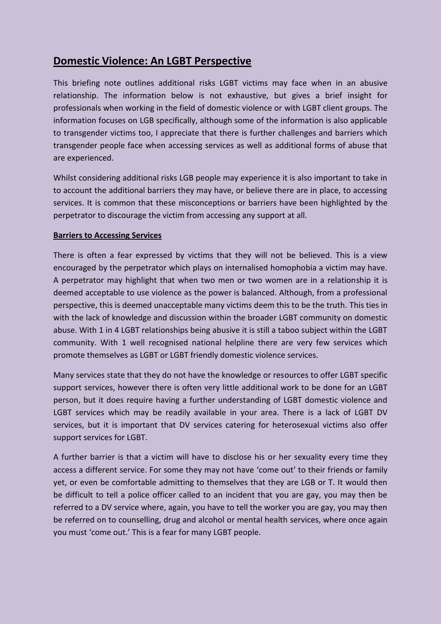# **Domestic Violence: An LGBT Perspective**

This briefing note outlines additional risks LGBT victims may face when in an abusive relationship. The information below is not exhaustive, but gives a brief insight for professionals when working in the field of domestic violence or with LGBT client groups. The information focuses on LGB specifically, although some of the information is also applicable to transgender victims too, I appreciate that there is further challenges and barriers which transgender people face when accessing services as well as additional forms of abuse that are experienced.

Whilst considering additional risks LGB people may experience it is also important to take in to account the additional barriers they may have, or believe there are in place, to accessing services. It is common that these misconceptions or barriers have been highlighted by the perpetrator to discourage the victim from accessing any support at all.

#### **Barriers to Accessing Services**

There is often a fear expressed by victims that they will not be believed. This is a view encouraged by the perpetrator which plays on internalised homophobia a victim may have. A perpetrator may highlight that when two men or two women are in a relationship it is deemed acceptable to use violence as the power is balanced. Although, from a professional perspective, this is deemed unacceptable many victims deem this to be the truth. This ties in with the lack of knowledge and discussion within the broader LGBT community on domestic abuse. With 1 in 4 LGBT relationships being abusive it is still a taboo subject within the LGBT community. With 1 well recognised national helpline there are very few services which promote themselves as LGBT or LGBT friendly domestic violence services.

Many services state that they do not have the knowledge or resources to offer LGBT specific support services, however there is often very little additional work to be done for an LGBT person, but it does require having a further understanding of LGBT domestic violence and LGBT services which may be readily available in your area. There is a lack of LGBT DV services, but it is important that DV services catering for heterosexual victims also offer support services for LGBT.

A further barrier is that a victim will have to disclose his or her sexuality every time they access a different service. For some they may not have 'come out' to their friends or family yet, or even be comfortable admitting to themselves that they are LGB or T. It would then be difficult to tell a police officer called to an incident that you are gay, you may then be referred to a DV service where, again, you have to tell the worker you are gay, you may then be referred on to counselling, drug and alcohol or mental health services, where once again you must 'come out.' This is a fear for many LGBT people.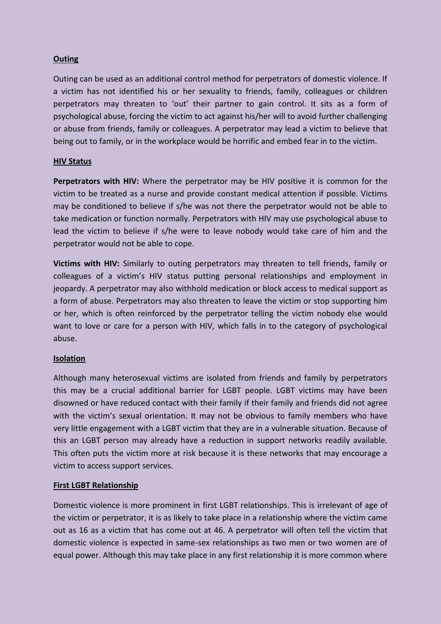# **Outing**

Outing can be used as an additional control method for perpetrators of domestic violence. If a victim has not identified his or her sexuality to friends, family, colleagues or children perpetrators may threaten to 'out' their partner to gain control. It sits as a form of psychological abuse, forcing the victim to act against his/her will to avoid further challenging or abuse from friends, family or colleagues. A perpetrator may lead a victim to believe that being out to family, or in the workplace would be horrific and embed fear in to the victim.

# **HIV Status**

**Perpetrators with HIV:** Where the perpetrator may be HIV positive it is common for the victim to be treated as a nurse and provide constant medical attention if possible. Victims may be conditioned to believe if s/he was not there the perpetrator would not be able to take medication or function normally. Perpetrators with HIV may use psychological abuse to lead the victim to believe if s/he were to leave nobody would take care of him and the perpetrator would not be able to cope.

**Victims with HIV:** Similarly to outing perpetrators may threaten to tell friends, family or colleagues of a victim's HIV status putting personal relationships and employment in jeopardy. A perpetrator may also withhold medication or block access to medical support as a form of abuse. Perpetrators may also threaten to leave the victim or stop supporting him or her, which is often reinforced by the perpetrator telling the victim nobody else would want to love or care for a person with HIV, which falls in to the category of psychological abuse.

#### **Isolation**

Although many heterosexual victims are isolated from friends and family by perpetrators this may be a crucial additional barrier for LGBT people. LGBT victims may have been disowned or have reduced contact with their family if their family and friends did not agree with the victim's sexual orientation. It may not be obvious to family members who have very little engagement with a LGBT victim that they are in a vulnerable situation. Because of this an LGBT person may already have a reduction in support networks readily available. This often puts the victim more at risk because it is these networks that may encourage a victim to access support services.

# **First LGBT Relationship**

Domestic violence is more prominent in first LGBT relationships. This is irrelevant of age of the victim or perpetrator, it is as likely to take place in a relationship where the victim came out as 16 as a victim that has come out at 46. A perpetrator will often tell the victim that domestic violence is expected in same-sex relationships as two men or two women are of equal power. Although this may take place in any first relationship it is more common where